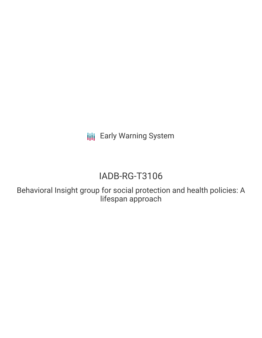**III** Early Warning System

# IADB-RG-T3106

Behavioral Insight group for social protection and health policies: A lifespan approach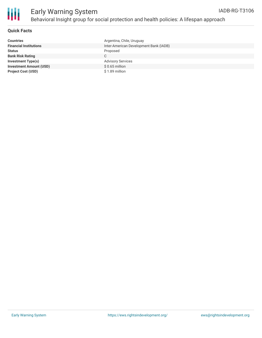

## Early Warning System Behavioral Insight group for social protection and health policies: A lifespan approach

#### **Quick Facts**

| <b>Countries</b>               | Argentina, Chile, Uruguay              |
|--------------------------------|----------------------------------------|
| <b>Financial Institutions</b>  | Inter-American Development Bank (IADB) |
| <b>Status</b>                  | Proposed                               |
| <b>Bank Risk Rating</b>        | C.                                     |
| Investment Type(s)             | <b>Advisory Services</b>               |
| <b>Investment Amount (USD)</b> | $$0.65$ million                        |
| <b>Project Cost (USD)</b>      | \$1.89 million                         |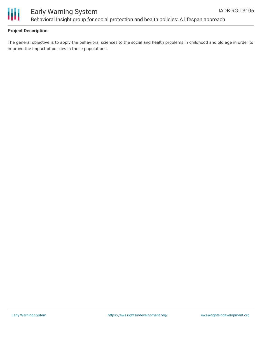

### **Project Description**

The general objective is to apply the behavioral sciences to the social and health problems in childhood and old age in order to improve the impact of policies in these populations.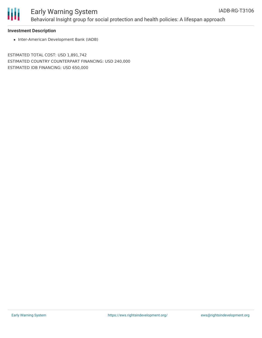

## Early Warning System Behavioral Insight group for social protection and health policies: A lifespan approach

#### **Investment Description**

• Inter-American Development Bank (IADB)

ESTIMATED TOTAL COST: USD 1,891,742 ESTIMATED COUNTRY COUNTERPART FINANCING: USD 240,000 ESTIMATED IDB FINANCING: USD 650,000